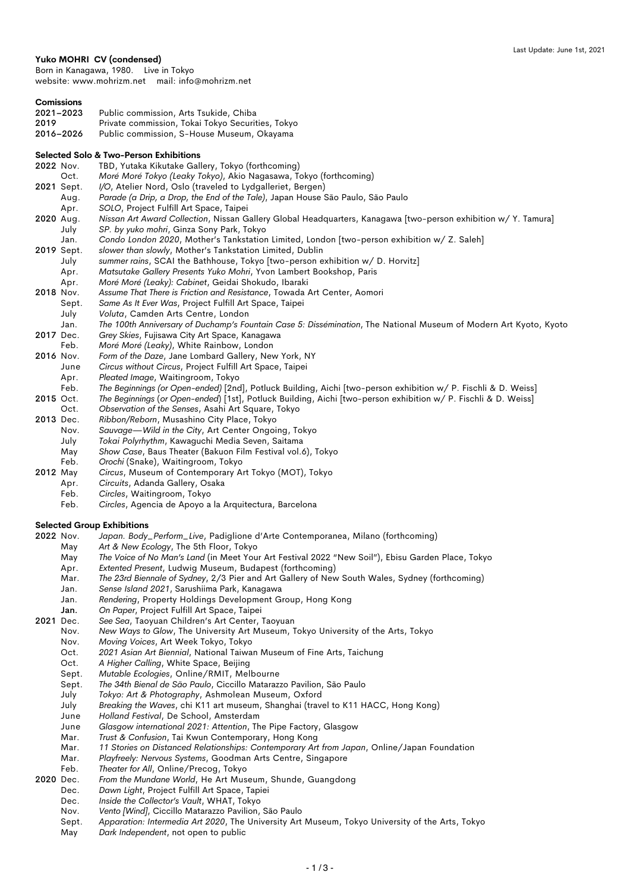## **Yuko MOHRI CV (condensed)**

Born in Kanagawa, 1980. Live in Tokyo website: www.mohrizm.net mail: info@mohrizm.net

| Comissions |  |
|------------|--|
|            |  |

| 2021-2023 | Public commission, Arts Tsukide, Chiba            |
|-----------|---------------------------------------------------|
| 2019      | Private commission, Tokai Tokyo Securities, Tokyo |
| 2016–2026 | Public commission, S-House Museum, Okayama        |

### **Selected Solo & Two-Person Exhibitions**

|           |            | Selected Solo & TWO-Person Exhibitions                                                                            |
|-----------|------------|-------------------------------------------------------------------------------------------------------------------|
| 2022 Nov. |            | TBD, Yutaka Kikutake Gallery, Tokyo (forthcoming)                                                                 |
|           | Oct.       | Moré Moré Tokyo (Leaky Tokyo), Akio Nagasawa, Tokyo (forthcoming)                                                 |
|           | 2021 Sept. | I/O, Atelier Nord, Oslo (traveled to Lydgalleriet, Bergen)                                                        |
|           | Aug.       | Parade (a Drip, a Drop, the End of the Tale), Japan House São Paulo, São Paulo                                    |
|           | Apr.       | SOLO, Project Fulfill Art Space, Taipei                                                                           |
| 2020 Aug. |            | Nissan Art Award Collection, Nissan Gallery Global Headquarters, Kanagawa [two-person exhibition w/ Y. Tamura]    |
|           | July       | SP. by yuko mohri, Ginza Sony Park, Tokyo                                                                         |
|           | Jan.       | Condo London 2020, Mother's Tankstation Limited, London [two-person exhibition w/ Z. Saleh]                       |
|           | 2019 Sept. | slower than slowly, Mother's Tankstation Limited, Dublin                                                          |
|           | July       | summer rains, SCAI the Bathhouse, Tokyo [two-person exhibition w/ D. Horvitz]                                     |
|           | Apr.       | Matsutake Gallery Presents Yuko Mohri, Yvon Lambert Bookshop, Paris                                               |
|           | Apr.       | Moré Moré (Leaky): Cabinet, Geidai Shokudo, Ibaraki                                                               |
| 2018 Nov. |            | Assume That There is Friction and Resistance, Towada Art Center, Aomori                                           |
|           | Sept.      | Same As It Ever Was, Project Fulfill Art Space, Taipei                                                            |
|           | July       | Voluta, Camden Arts Centre, London                                                                                |
|           | Jan.       | The 100th Anniversary of Duchamp's Fountain Case 5: Dissémination, The National Museum of Modern Art Kyoto, Kyoto |
| 2017 Dec. |            | Grey Skies, Fujisawa City Art Space, Kanagawa                                                                     |
|           | Feb.       | Moré Moré (Leaky), White Rainbow, London                                                                          |
| 2016 Nov. |            | Form of the Daze, Jane Lombard Gallery, New York, NY                                                              |
|           | June       | Circus without Circus, Project Fulfill Art Space, Taipei                                                          |
|           | Apr.       | Pleated Image, Waitingroom, Tokyo                                                                                 |
|           | Feb.       | The Beginnings (or Open-ended) [2nd], Potluck Building, Aichi [two-person exhibition w/ P. Fischli & D. Weiss]    |
| 2015 Oct. |            | The Beginnings (or Open-ended) [1st], Potluck Building, Aichi [two-person exhibition w/ P. Fischli & D. Weiss]    |
|           | Oct.       | Observation of the Senses, Asahi Art Square, Tokyo                                                                |
| 2013 Dec. |            | Ribbon/Reborn, Musashino City Place, Tokyo                                                                        |
|           | Nov.       | Sauvage—Wild in the City, Art Center Ongoing, Tokyo                                                               |
|           | July       | Tokai Polyrhythm, Kawaguchi Media Seven, Saitama                                                                  |
|           | $M = 1$    | $Chau: Cana: David Theorem (Balman Film Fantiual) to Table 2.$                                                    |

- May *Show Case*, Baus Theater (Bakuon Film Festival vol.6), Tokyo
- Feb. *Orochi* (Snake), Waitingroom, Tokyo
- 2012 May *Circus*, Museum of Contemporary Art Tokyo (MOT), Tokyo
	- Apr. *Circuits*, Adanda Gallery, Osaka
	- Feb. *Circles*, Waitingroom, Tokyo
		- Feb. *Circles*, Agencia de Apoyo a la Arquitectura, Barcelona

## **Selected Group Exhibitions**

- 2022 Nov. *Japan. Body\_Perform\_Live*, Padiglione d'Arte Contemporanea, Milano (forthcoming)
	- May *Art & New Ecology*, The 5th Floor, Tokyo
	- May *The Voice of No Man's Land* (in Meet Your Art Festival 2022 "New Soil"), Ebisu Garden Place, Tokyo
	- Apr. *Extented Present*, Ludwig Museum, Budapest (forthcoming)
	- Mar. *The 23rd Biennale of Sydney*, 2/3 Pier and Art Gallery of New South Wales, Sydney (forthcoming)
	- Jan. *Sense Island 2021*, Sarushiima Park, Kanagawa
		- Jan. *Rendering*, Property Holdings Development Group, Hong Kong
	-
- Jan. *On Paper*, Project Fulfill Art Space, Taipei See Sea, Taoyuan Children's Art Center, Taoyuan
	- Nov. *New Ways to Glow*, The University Art Museum, Tokyo University of the Arts, Tokyo
	- Nov. *Moving Voices*, Art Week Tokyo, Tokyo
	- Oct. *2021 Asian Art Biennial*, National Taiwan Museum of Fine Arts, Taichung
	- Oct. *A Higher Calling*, White Space, Beijing
	- Sept. *Mutable Ecologies*, Online/RMIT, Melbourne
	- Sept. *The 34th Bienal de São Paulo*, Ciccillo Matarazzo Pavilion, São Paulo
	- July *Tokyo: Art & Photography*, Ashmolean Museum, Oxford
	- July *Breaking the Waves*, chi K11 art museum, Shanghai (travel to K11 HACC, Hong Kong)
	- June *Holland Festival*, De School, Amsterdam
	- June *Glasgow international 2021: Attention*, The Pipe Factory, Glasgow
	- Trust & Confusion, Tai Kwun Contemporary, Hong Kong
	- Mar. *11 Stories on Distanced Relationships: Contemporary Art from Japan*, Online/Japan Foundation
	- Mar. *Playfreely: Nervous Systems*, Goodman Arts Centre, Singapore
- Feb. *Theater for All*, Online/Precog, Tokyo<br>2020 Dec. *From the Mundane World*. He Art Mus
	- From the Mundane World, He Art Museum, Shunde, Guangdong
		- Dec. *Dawn Light*, Project Fulfill Art Space, Tapiei
		- Dec. *Inside the Collector's Vault*, WHAT, Tokyo
		- Nov. *Vento [Wind]*, Ciccillo Matarazzo Pavilion, São Paulo
		- Sept. *Apparation: Intermedia Art 2020*, The University Art Museum, Tokyo University of the Arts, Tokyo
		- May *Dark Independent*, not open to public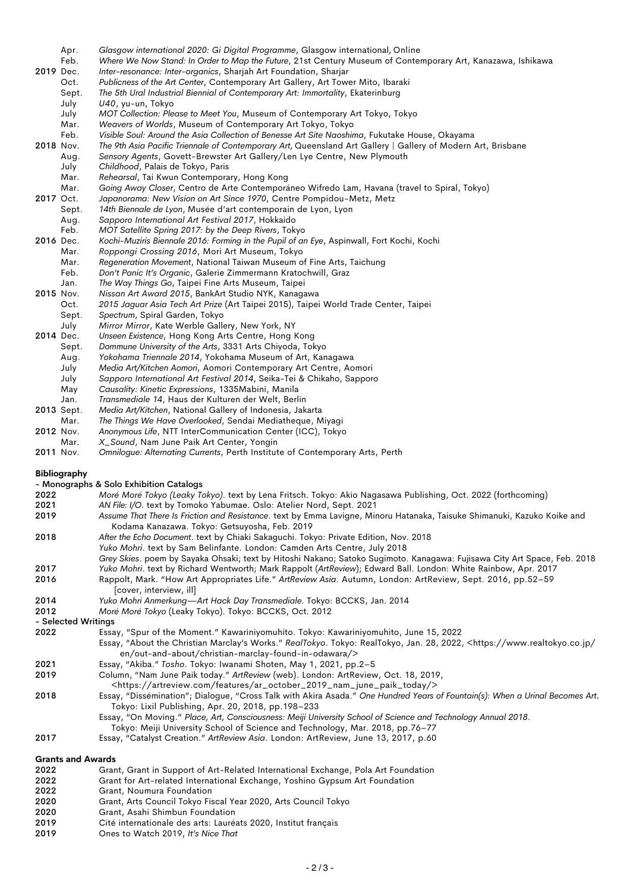|              | Apr.                     | Glasgow international 2020: Gi Digital Programme, Glasgow international, Online                                                                                                                  |
|--------------|--------------------------|--------------------------------------------------------------------------------------------------------------------------------------------------------------------------------------------------|
|              | Feb.                     | Where We Now Stand: In Order to Map the Future, 21st Century Museum of Contemporary Art, Kanazawa, Ishikawa                                                                                      |
| 2019 Dec.    |                          | Inter-resonance: Inter-organics, Sharjah Art Foundation, Sharjar                                                                                                                                 |
|              | Oct.                     | Publicness of the Art Center, Contemporary Art Gallery, Art Tower Mito, Ibaraki                                                                                                                  |
|              | Sept.                    | The 5th Ural Industrial Biennial of Contemporary Art: Immortality, Ekaterinburg                                                                                                                  |
|              | July<br>July             | U40, yu-un, Tokyo<br>MOT Collection: Please to Meet You, Museum of Contemporary Art Tokyo, Tokyo                                                                                                 |
|              | Mar.                     | Weavers of Worlds, Museum of Contemporary Art Tokyo, Tokyo                                                                                                                                       |
|              | Feb.                     | Visible Soul: Around the Asia Collection of Benesse Art Site Naoshima, Fukutake House, Okayama                                                                                                   |
| 2018 Nov.    |                          | The 9th Asia Pacific Triennale of Contemporary Art, Queensland Art Gallery   Gallery of Modern Art, Brisbane                                                                                     |
|              | Aug.                     | Sensory Agents, Govett-Brewster Art Gallery/Len Lye Centre, New Plymouth                                                                                                                         |
|              | July                     | Childhood, Palais de Tokyo, Paris                                                                                                                                                                |
|              | Mar.                     | Rehearsal, Tai Kwun Contemporary, Hong Kong                                                                                                                                                      |
|              | Mar.                     | Going Away Closer, Centro de Arte Contemporáneo Wifredo Lam, Havana (travel to Spiral, Tokyo)                                                                                                    |
| 2017 Oct.    |                          | Japanorama: New Vision on Art Since 1970, Centre Pompidou-Metz, Metz                                                                                                                             |
|              | Sept.                    | 14th Biennale de Lyon, Musée d'art contemporain de Lyon, Lyon<br>Sapporo International Art Festival 2017, Hokkaido                                                                               |
|              | Aug.<br>Feb.             | MOT Satellite Spring 2017: by the Deep Rivers, Tokyo                                                                                                                                             |
| 2016 Dec.    |                          | Kochi-Muziris Biennale 2016: Forming in the Pupil of an Eye, Aspinwall, Fort Kochi, Kochi                                                                                                        |
|              | Mar.                     | Roppongi Crossing 2016, Mori Art Museum, Tokyo                                                                                                                                                   |
|              | Mar.                     | Regeneration Movement, National Taiwan Museum of Fine Arts, Taichung                                                                                                                             |
|              | Feb.                     | Don't Panic It's Organic, Galerie Zimmermann Kratochwill, Graz                                                                                                                                   |
|              | Jan.                     | The Way Things Go, Taipei Fine Arts Museum, Taipei                                                                                                                                               |
| 2015 Nov.    |                          | Nissan Art Award 2015, BankArt Studio NYK, Kanagawa                                                                                                                                              |
|              | Oct.                     | 2015 Jaguar Asia Tech Art Prize (Art Taipei 2015), Taipei World Trade Center, Taipei                                                                                                             |
|              | Sept.<br>July            | Spectrum, Spiral Garden, Tokyo<br>Mirror Mirror, Kate Werble Gallery, New York, NY                                                                                                               |
| 2014 Dec.    |                          | Unseen Existence, Hong Kong Arts Centre, Hong Kong                                                                                                                                               |
|              | Sept.                    | Dommune University of the Arts, 3331 Arts Chiyoda, Tokyo                                                                                                                                         |
|              | Aug.                     | Yokohama Triennale 2014, Yokohama Museum of Art, Kanagawa                                                                                                                                        |
|              | July                     | Media Art/Kitchen Aomori, Aomori Contemporary Art Centre, Aomori                                                                                                                                 |
|              | July                     | Sapporo International Art Festival 2014, Seika-Tei & Chikaho, Sapporo                                                                                                                            |
|              | May                      | Causality: Kinetic Expressions, 1335Mabini, Manila                                                                                                                                               |
|              | Jan.                     | Transmediale 14, Haus der Kulturen der Welt, Berlin                                                                                                                                              |
| 2013 Sept.   | Mar.                     | Media Art/Kitchen, National Gallery of Indonesia, Jakarta<br>The Things We Have Overlooked, Sendai Mediatheque, Miyagi                                                                           |
| 2012 Nov.    |                          | Anonymous Life, NTT InterCommunication Center (ICC), Tokyo                                                                                                                                       |
|              | Mar.                     | X_Sound, Nam June Paik Art Center, Yongin                                                                                                                                                        |
| 2011 Nov.    |                          | Omnilogue: Alternating Currents, Perth Institute of Contemporary Arts, Perth                                                                                                                     |
|              |                          |                                                                                                                                                                                                  |
|              | <b>Bibliography</b>      |                                                                                                                                                                                                  |
|              |                          | - Monographs & Solo Exhibition Catalogs                                                                                                                                                          |
| 2022         |                          | Moré Moré Tokyo (Leaky Tokyo). text by Lena Fritsch. Tokyo: Akio Nagasawa Publishing, Oct. 2022 (forthcoming)                                                                                    |
| 2021<br>2019 |                          | AN File: I/O. text by Tomoko Yabumae. Oslo: Atelier Nord, Sept. 2021<br>Assume That There Is Friction and Resistance. text by Emma Lavigne, Minoru Hatanaka, Taisuke Shimanuki, Kazuko Koike and |
|              |                          | Kodama Kanazawa. Tokyo: Getsuyosha, Feb. 2019                                                                                                                                                    |
| 2018         |                          | After the Echo Document. text by Chiaki Sakaguchi. Tokyo: Private Edition, Nov. 2018                                                                                                             |
|              |                          | Yuko Mohri. text by Sam Belinfante. London: Camden Arts Centre, July 2018                                                                                                                        |
|              |                          | Grey Skies. poem by Sayaka Ohsaki; text by Hitoshi Nakano; Satoko Sugimoto. Kanagawa: Fujisawa City Art Space, Feb. 2018                                                                         |
| 2017         |                          | Yuko Mohri. text by Richard Wentworth; Mark Rappolt (ArtReview); Edward Ball. London: White Rainbow, Apr. 2017                                                                                   |
| 2016         |                          | Rappolt, Mark. "How Art Appropriates Life." ArtReview Asia. Autumn, London: ArtReview, Sept. 2016, pp.52-59                                                                                      |
|              |                          | [cover, interview, ill]                                                                                                                                                                          |
| 2014<br>2012 |                          | Yuko Mohri Anmerkung-Art Hack Day Transmediale. Tokyo: BCCKS, Jan. 2014                                                                                                                          |
|              | - Selected Writings      | Moré Moré Tokyo (Leaky Tokyo). Tokyo: BCCKS, Oct. 2012                                                                                                                                           |
| 2022         |                          | Essay, "Spur of the Moment." Kawariniyomuhito. Tokyo: Kawariniyomuhito, June 15, 2022                                                                                                            |
|              |                          | Essay, "About the Christian Marclay's Works." RealTokyo. Tokyo: RealTokyo, Jan. 28, 2022, <https: <="" td="" www.realtokyo.co.jp=""></https:>                                                    |
|              |                          | en/out-and-about/christian-marclay-found-in-odawara/>                                                                                                                                            |
| 2021         |                          | Essay, "Akiba." Tosho. Tokyo: Iwanami Shoten, May 1, 2021, pp.2-5                                                                                                                                |
| 2019         |                          | Column, "Nam June Paik today." ArtReview (web). London: ArtReview, Oct. 18, 2019,                                                                                                                |
|              |                          | <https: ar_october_2019_nam_june_paik_today="" artreview.com="" features=""></https:>                                                                                                            |
| 2018         |                          | Essay, "Dissémination"; Dialogue, "Cross Talk with Akira Asada." One Hundred Years of Fountain(s): When a Urinal Becomes Art.                                                                    |
|              |                          | Tokyo: Lixil Publishing, Apr. 20, 2018, pp.198-233<br>Essay, "On Moving." Place, Art, Consciousness: Meiji University School of Science and Technology Annual 2018.                              |
|              |                          | Tokyo: Meiji University School of Science and Technology, Mar. 2018, pp.76–77                                                                                                                    |
| 2017         |                          | Essay, "Catalyst Creation." ArtReview Asia. London: ArtReview, June 13, 2017, p.60                                                                                                               |
|              |                          |                                                                                                                                                                                                  |
|              | <b>Grants and Awards</b> |                                                                                                                                                                                                  |
| 2022<br>0000 |                          | Grant, Grant in Support of Art-Related International Exchange, Pola Art Foundation                                                                                                               |
|              |                          |                                                                                                                                                                                                  |

2022 Grant for Art-related International Exchange, Yoshino Gypsum Art Foundation<br>2022 Grant, Noumura Foundation

- 2022 Grant, Noumura Foundation<br>2020 Grant, Arts Council Tokyo Fis
- 2020 Grant, Arts Council Tokyo Fiscal Year 2020, Arts Council Tokyo
- 2020 Grant, Asahi Shimbun Foundation<br>2019 Cité internationale des arts: Lauréa
- 2019 Cité internationale des arts: Lauréats 2020, Institut français
- 2019 Ones to Watch 2019, *It's Nice That*